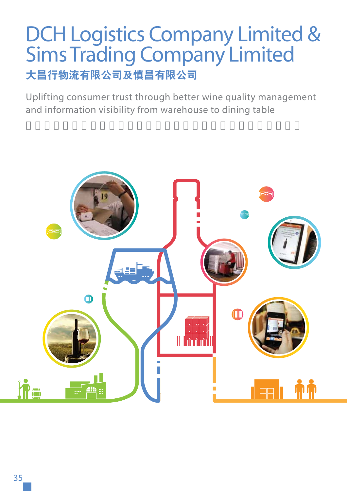# DCH Logistics Company Limited & Sims Trading Company Limited **大昌行物流有限公司及慎昌有限公司**

Uplifting consumer trust through better wine quality management and information visibility from warehouse to dining table

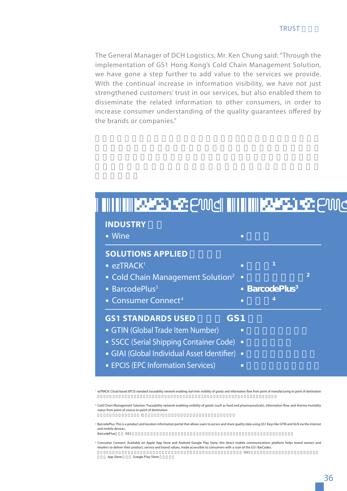The General Manager of DCH Logistics, Mr. Ken Chung said: "Through the implementation of GS1 Hong Kong's Cold Chain Management Solution, we have gone a step further to add value to the services we provide. With the continual increase in information visibility, we have not just strengthened customers' trust in our services, but also enabled them to disseminate the related information to other consumers, in order to increase consumer understanding of the quality quarantees offered by the brands or companies."

| • Wine                                        | п      |                                 |                |
|-----------------------------------------------|--------|---------------------------------|----------------|
|                                               |        |                                 |                |
| <b>SOLUTIONS APPLIED</b>                      |        |                                 |                |
| $\blacksquare$ ezTRACK <sup>1</sup>           | п      | $\overline{1}$                  |                |
| • Cold Chain Management Solution <sup>2</sup> | $\Box$ |                                 | $\overline{2}$ |
| BarcodePlus <sup>3</sup>                      |        | <b>BarcodePlus</b> <sup>3</sup> |                |
| • Consumer Connect <sup>4</sup>               |        |                                 |                |
| <b>GS1 STANDARDS USED</b><br>GS <sub>1</sub>  |        |                                 |                |
| GTIN (Global Trade Item Number)               | П      |                                 |                |
| SSCC (Serial Shipping Container Code)         | п      |                                 |                |
| • GIAI (Global Individual Asset Identifier)   | п      |                                 |                |
| <b>EPCIS (EPC Information Services)</b>       | П      |                                 |                |

1 ezTRACK: Cloud-based EPCIS-standard traceability network enabling real-time visibility of goods and information flow from point of manufacturing to point of destination

 $^{\rm 2}$  Cold Chain Management Solution: Traceability network enabling visibility of goods (such as food and pharmaceuticals), information flow, and thermo-humidity status from point of source to point of destination  $($ 

<sup>3</sup> BarcodePlus: This is a product and location information portal that allows users to access and share quality data using GS1 Keys like GTIN and GLN via the internet and mobile devices.<br>BarcodePlus GS1 BarcodePlus GS1 ‱2011 線晶晶 GS1 線別名 GS1 線別名 GS1 線別名

 $\triangleleft$  Consumer Connect: Available on Apple App Store and Android Google Play Store, this direct mobile communications platform helps brand owners and retailers to deliver their product, service and brand values, made accessible to consumers with a scan of the GS1 BarCodes.

App Store Google Play Store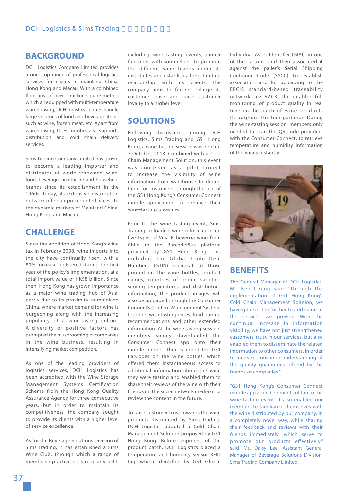### **BACKGROUND**

DCH Logistics Company Limited provides a one-stop range of professional logistics services for clients in mainland China, Hong Kong and Macau. With a combined floor area of over 1 million square metres, which all equipped with multi-temperature warehousing, DCH logistics centres handle large volumes of food and beverage items such as wine, frozen meat, etc. Apart from warehousing, DCH Logistics also supports distribution and cold chain delivery services.

Sims Trading Company Limited has grown to become a leading importer and distributor of world-renowned wine, food, beverage, healthcare and household brands since its establishment in the 1960s. Today, its extensive distribution network offers unprecedented access to the dynamic markets of Mainland China, Hong Kong and Macau.

# **CHALLENGE**

Since the abolition of Hong Kong's wine tax in February 2008, wine imports into the city have continually risen, with a 80% increase registered during the first year of the policy's implementation, at a total import value of HK\$8 billion. Since then, Hong Kong has grown importance as a major wine trading hub of Asia, partly due to its proximity to mainland China, where market demand for wine is burgeoning along with the increasing popularity of a wine-tasting culture. A diversity of positive factors has prompted the mushrooming of companies in the wine business, resulting in intensifying market competition.

As one of the leading providers of logistics services, DCH Logistics has been accredited with the Wine Storage Management Systems Certification Scheme from the Hong Kong Quality Assurance Agency for three consecutive years, but in order to maintain its competitiveness, the company sought to provide its clients with a higher level of service excellence.

As for the Beverage Solutions Division of Sims Trading, it has established a Sims Wine Club, through which a range of membership activities is regularly held,

including wine-tasting events, dinner functions with sommeliers, to promote the different wine brands under its distributes and establish a longstanding relationship with its clients. The company aims to further enlarge its customer base and raise customer loyalty to a higher level.

## **SOLUTIONS**

Following discussions among DCH Logistics, Sims Trading and GS1 Hong Kong, a wine-tasting session was held on 3 October, 2013. Combined with a Cold Chain Management Solution, this event was conceived as a pilot project to increase the visibility of wine information from warehouse to dining table for customers, through the use of the GS1 Hong Kong's Consumer Connect mobile application, to enhance their wine-tasting pleasure.

Prior to the wine tasting event, Sims Trading uploaded wine information on five types of Vina Echeverria wine from Chile to the BarcodePlus platform provided by GS1 Hong Kong. This including the Global Trade Item Numbers (GTIN) identical to those printed on the wine bottles, product names, countries of origin, varieties, serving temperatures and distributor's information; the product images will also be uploaded through the Consumer Connect's Content Management System, together with tasting notes, food pairing recommendations and other extended information. At the wine tasting session, members simply downloaded the Consumer Connect app onto their mobile phones, then scanned the GS1 BarCodes on the wine bottles, which offered them instantaneous access to additional information about the wine they were tasting and enabled them to share their reviews of the wine with their friends on the social network media or to review the content in the future.

To raise customer trust towards the wine products distributed by Sims Trading, DCH Logistics adopted a Cold Chain Management Solution proposed by GS1 Hong Kong. Before shipment of the product batch, DCH Logistics placed a temperature and humidity sensor RFID tag, which identified by GS1 Global Individual Asset Identifier (GIAI), in one of the cartons, and then associated it against the pallet's Serial Shipping Container Code (SSCC) to establish association and for uploading to the EPCIS standard-based traceability network - ezTRACK. This enabled full monitoring of product quality in real time on the batch of wine products throughout the transportation. During the wine-tasting session, members only needed to scan the QR code provided, with the Consumer Connect, to retrieve temperature and humidity information of the wines instantly.



### **BENEFITS**

The General Manager of DCH Logistics, Mr. Ken Chung said: "Through the implementation of GS1 Hong Kong's Cold Chain Management Solution, we have gone a step further to add value to the services we provide. With the continual increase in information visibility, we have not just strengthened customers' trust in our services, but also enabled them to disseminate the related information to other consumers, in order to increase consumer understanding of the quality quarantees offered by the brands or companies."

"GS1 Hong Kong's Consumer Connect mobile app added elements of fun to the wine-tasting event. It also enabled our members to familiarize themselves with the wine distributed by our company, in a completely novel way, while sharing their feedback and reviews with their friends immediately, which serve to promote our products effectively," said Ms. Daisy Lee, Assistant General Manager of Beverage Solutions Division, Sims Trading Company Limited.